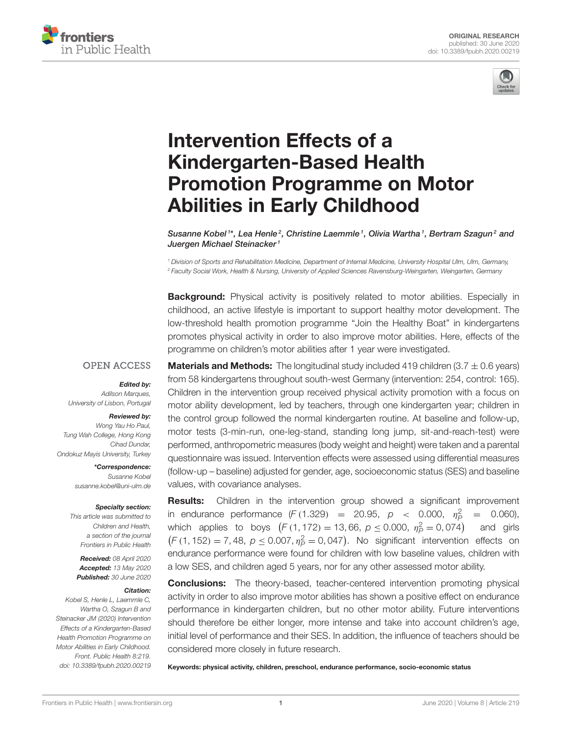



# Intervention Effects of a Kindergarten-Based Health [Promotion Programme on Motor](https://www.frontiersin.org/articles/10.3389/fpubh.2020.00219/full) Abilities in Early Childhood

[Susanne Kobel](http://loop.frontiersin.org/people/230339/overview)1\*, Lea Henle<sup>2</sup>, Christine Laemmle<sup>-1</sup>, Olivia Wartha<sup>-1</sup>, Bertram Szagun<sup>2</sup> and [Juergen Michael Steinacker](http://loop.frontiersin.org/people/418437/overview)<sup>1</sup>

*<sup>1</sup> Division of Sports and Rehabilitation Medicine, Department of Internal Medicine, University Hospital Ulm, Ulm, Germany, <sup>2</sup> Faculty Social Work, Health & Nursing, University of Applied Sciences Ravensburg-Weingarten, Weingarten, Germany*

**Background:** Physical activity is positively related to motor abilities. Especially in childhood, an active lifestyle is important to support healthy motor development. The low-threshold health promotion programme "Join the Healthy Boat" in kindergartens promotes physical activity in order to also improve motor abilities. Here, effects of the programme on children's motor abilities after 1 year were investigated.

### **OPEN ACCESS**

#### Edited by:

*Adilson Marques, University of Lisbon, Portugal*

#### Reviewed by:

*Wong Yau Ho Paul, Tung Wah College, Hong Kong Cihad Dundar, Ondokuz Mayis University, Turkey*

> \*Correspondence: *Susanne Kobel [susanne.kobel@uni-ulm.de](mailto:susanne.kobel@uni-ulm.de)*

#### Specialty section:

*This article was submitted to Children and Health, a section of the journal Frontiers in Public Health*

Received: *08 April 2020* Accepted: *13 May 2020* Published: *30 June 2020*

#### Citation:

*Kobel S, Henle L, Laemmle C, Wartha O, Szagun B and Steinacker JM (2020) Intervention Effects of a Kindergarten-Based Health Promotion Programme on Motor Abilities in Early Childhood. Front. Public Health 8:219. doi: [10.3389/fpubh.2020.00219](https://doi.org/10.3389/fpubh.2020.00219)* **Materials and Methods:** The longitudinal study included 419 children (3.7  $\pm$  0.6 years) from 58 kindergartens throughout south-west Germany (intervention: 254, control: 165). Children in the intervention group received physical activity promotion with a focus on motor ability development, led by teachers, through one kindergarten year; children in the control group followed the normal kindergarten routine. At baseline and follow-up, motor tests (3-min-run, one-leg-stand, standing long jump, sit-and-reach-test) were performed, anthropometric measures (body weight and height) were taken and a parental questionnaire was issued. Intervention effects were assessed using differential measures (follow-up – baseline) adjusted for gender, age, socioeconomic status (SES) and baseline values, with covariance analyses.

**Results:** Children in the intervention group showed a significant improvement in endurance performance  $(F (1.329) = 20.95, p < 0.000, \eta_P^2 = 0.060)$ , which applies to boys  $(F(1, 172) = 13, 66, p \le 0.000, \eta_P^2 = 0, 074)$ and girls  $(F(1, 152) = 7, 48, p \le 0.007, \eta_P^2 = 0, 047)$ . No significant intervention effects on endurance performance were found for children with low baseline values, children with a low SES, and children aged 5 years, nor for any other assessed motor ability.

**Conclusions:** The theory-based, teacher-centered intervention promoting physical activity in order to also improve motor abilities has shown a positive effect on endurance performance in kindergarten children, but no other motor ability. Future interventions should therefore be either longer, more intense and take into account children's age, initial level of performance and their SES. In addition, the influence of teachers should be considered more closely in future research.

Keywords: physical activity, children, preschool, endurance performance, socio-economic status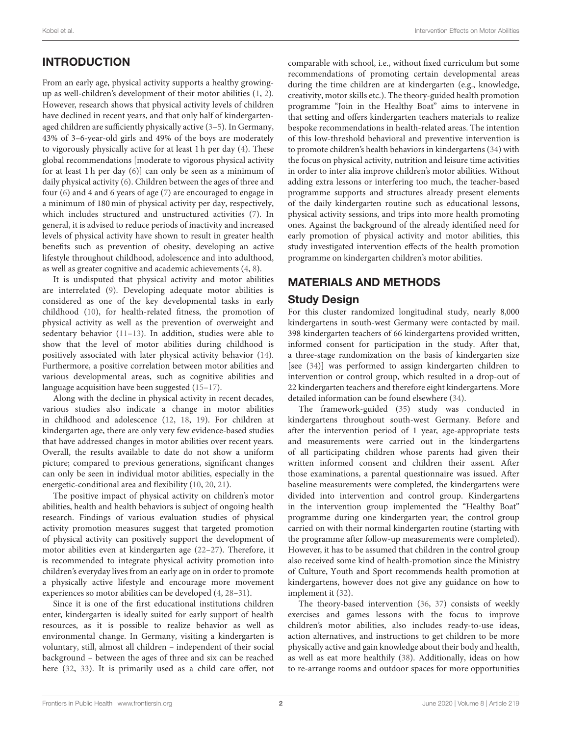# INTRODUCTION

From an early age, physical activity supports a healthy growingup as well-children's development of their motor abilities [\(1,](#page-7-0) [2\)](#page-7-1). However, research shows that physical activity levels of children have declined in recent years, and that only half of kindergartenaged children are sufficiently physically active [\(3](#page-7-2)[–5\)](#page-7-3). In Germany, 43% of 3–6-year-old girls and 49% of the boys are moderately to vigorously physically active for at least 1 h per day [\(4\)](#page-7-4). These global recommendations [moderate to vigorous physical activity for at least 1 h per day [\(6\)](#page-7-5)] can only be seen as a minimum of daily physical activity [\(6\)](#page-7-5). Children between the ages of three and four [\(6\)](#page-7-5) and 4 and 6 years of age [\(7\)](#page-7-6) are encouraged to engage in a minimum of 180 min of physical activity per day, respectively, which includes structured and unstructured activities [\(7\)](#page-7-6). In general, it is advised to reduce periods of inactivity and increased levels of physical activity have shown to result in greater health benefits such as prevention of obesity, developing an active lifestyle throughout childhood, adolescence and into adulthood, as well as greater cognitive and academic achievements [\(4,](#page-7-4) [8\)](#page-7-7).

It is undisputed that physical activity and motor abilities are interrelated [\(9\)](#page-7-8). Developing adequate motor abilities is considered as one of the key developmental tasks in early childhood [\(10\)](#page-7-9), for health-related fitness, the promotion of physical activity as well as the prevention of overweight and sedentary behavior [\(11](#page-7-10)[–13\)](#page-7-11). In addition, studies were able to show that the level of motor abilities during childhood is positively associated with later physical activity behavior [\(14\)](#page-7-12). Furthermore, a positive correlation between motor abilities and various developmental areas, such as cognitive abilities and language acquisition have been suggested [\(15–](#page-7-13)[17\)](#page-7-14).

Along with the decline in physical activity in recent decades, various studies also indicate a change in motor abilities in childhood and adolescence [\(12,](#page-7-15) [18,](#page-7-16) [19\)](#page-7-17). For children at kindergarten age, there are only very few evidence-based studies that have addressed changes in motor abilities over recent years. Overall, the results available to date do not show a uniform picture; compared to previous generations, significant changes can only be seen in individual motor abilities, especially in the energetic-conditional area and flexibility [\(10,](#page-7-9) [20,](#page-7-18) [21\)](#page-7-19).

The positive impact of physical activity on children's motor abilities, health and health behaviors is subject of ongoing health research. Findings of various evaluation studies of physical activity promotion measures suggest that targeted promotion of physical activity can positively support the development of motor abilities even at kindergarten age [\(22](#page-7-20)[–27\)](#page-7-21). Therefore, it is recommended to integrate physical activity promotion into children's everyday lives from an early age on in order to promote a physically active lifestyle and encourage more movement experiences so motor abilities can be developed [\(4,](#page-7-4) [28–](#page-8-0)[31\)](#page-8-1).

Since it is one of the first educational institutions children enter, kindergarten is ideally suited for early support of health resources, as it is possible to realize behavior as well as environmental change. In Germany, visiting a kindergarten is voluntary, still, almost all children – independent of their social background – between the ages of three and six can be reached here [\(32,](#page-8-2) [33\)](#page-8-3). It is primarily used as a child care offer, not comparable with school, i.e., without fixed curriculum but some recommendations of promoting certain developmental areas during the time children are at kindergarten (e.g., knowledge, creativity, motor skills etc.). The theory-guided health promotion programme "Join in the Healthy Boat" aims to intervene in that setting and offers kindergarten teachers materials to realize bespoke recommendations in health-related areas. The intention of this low-threshold behavioral and preventive intervention is to promote children's health behaviors in kindergartens [\(34\)](#page-8-4) with the focus on physical activity, nutrition and leisure time activities in order to inter alia improve children's motor abilities. Without adding extra lessons or interfering too much, the teacher-based programme supports and structures already present elements of the daily kindergarten routine such as educational lessons, physical activity sessions, and trips into more health promoting ones. Against the background of the already identified need for early promotion of physical activity and motor abilities, this study investigated intervention effects of the health promotion programme on kindergarten children's motor abilities.

# MATERIALS AND METHODS

### Study Design

For this cluster randomized longitudinal study, nearly 8,000 kindergartens in south-west Germany were contacted by mail. 398 kindergarten teachers of 66 kindergartens provided written, informed consent for participation in the study. After that, a three-stage randomization on the basis of kindergarten size [see [\(34\)](#page-8-4)] was performed to assign kindergarten children to intervention or control group, which resulted in a drop-out of 22 kindergarten teachers and therefore eight kindergartens. More detailed information can be found elsewhere [\(34\)](#page-8-4).

The framework-guided [\(35\)](#page-8-5) study was conducted in kindergartens throughout south-west Germany. Before and after the intervention period of 1 year, age-appropriate tests and measurements were carried out in the kindergartens of all participating children whose parents had given their written informed consent and children their assent. After those examinations, a parental questionnaire was issued. After baseline measurements were completed, the kindergartens were divided into intervention and control group. Kindergartens in the intervention group implemented the "Healthy Boat" programme during one kindergarten year; the control group carried on with their normal kindergarten routine (starting with the programme after follow-up measurements were completed). However, it has to be assumed that children in the control group also received some kind of health-promotion since the Ministry of Culture, Youth and Sport recommends health promotion at kindergartens, however does not give any guidance on how to implement it [\(32\)](#page-8-2).

The theory-based intervention [\(36,](#page-8-6) [37\)](#page-8-7) consists of weekly exercises and games lessons with the focus to improve children's motor abilities, also includes ready-to-use ideas, action alternatives, and instructions to get children to be more physically active and gain knowledge about their body and health, as well as eat more healthily [\(38\)](#page-8-8). Additionally, ideas on how to re-arrange rooms and outdoor spaces for more opportunities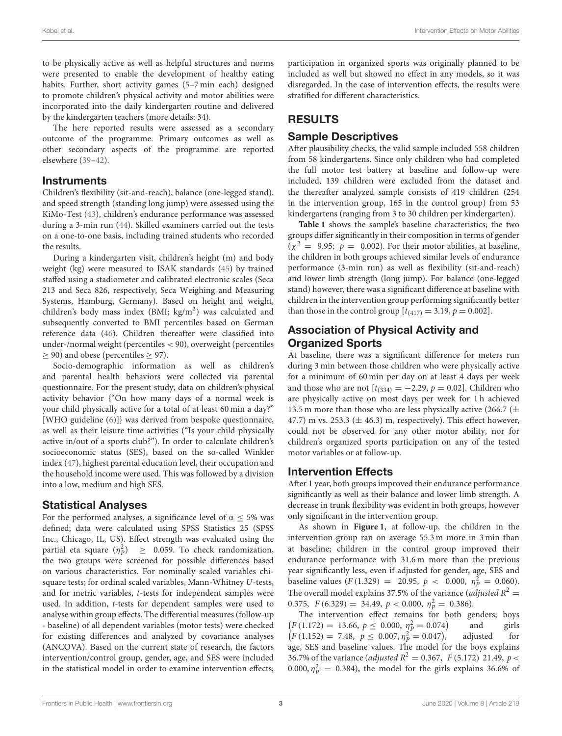to be physically active as well as helpful structures and norms were presented to enable the development of healthy eating habits. Further, short activity games (5–7 min each) designed to promote children's physical activity and motor abilities were incorporated into the daily kindergarten routine and delivered by the kindergarten teachers (more details: 34).

The here reported results were assessed as a secondary outcome of the programme. Primary outcomes as well as other secondary aspects of the programme are reported elsewhere [\(39](#page-8-9)[–42\)](#page-8-10).

### **Instruments**

Children's flexibility (sit-and-reach), balance (one-legged stand), and speed strength (standing long jump) were assessed using the KiMo-Test [\(43\)](#page-8-11), children's endurance performance was assessed during a 3-min run [\(44\)](#page-8-12). Skilled examiners carried out the tests on a one-to-one basis, including trained students who recorded the results.

During a kindergarten visit, children's height (m) and body weight (kg) were measured to ISAK standards [\(45\)](#page-8-13) by trained staffed using a stadiometer and calibrated electronic scales (Seca 213 and Seca 826, respectively, Seca Weighing and Measuring Systems, Hamburg, Germany). Based on height and weight, children's body mass index (BMI;  $\text{kg/m}^2$ ) was calculated and subsequently converted to BMI percentiles based on German reference data [\(46\)](#page-8-14). Children thereafter were classified into under-/normal weight (percentiles < 90), overweight (percentiles ≥ 90) and obese (percentiles ≥ 97).

Socio-demographic information as well as children's and parental health behaviors were collected via parental questionnaire. For the present study, data on children's physical activity behavior {"On how many days of a normal week is your child physically active for a total of at least 60 min a day?" [WHO guideline [\(6\)](#page-7-5)]} was derived from bespoke questionnaire, as well as their leisure time activities ("Is your child physically active in/out of a sports club?"). In order to calculate children's socioeconomic status (SES), based on the so-called Winkler index [\(47\)](#page-8-15), highest parental education level, their occupation and the household income were used. This was followed by a division into a low, medium and high SES.

# Statistical Analyses

For the performed analyses, a significance level of  $\alpha \leq 5\%$  was defined; data were calculated using SPSS Statistics 25 (SPSS Inc., Chicago, IL, US). Effect strength was evaluated using the partial eta square  $(\eta_P^2) \geq 0.059$ . To check randomization, the two groups were screened for possible differences based on various characteristics. For nominally scaled variables chisquare tests; for ordinal scaled variables, Mann-Whitney U-tests, and for metric variables, t-tests for independent samples were used. In addition, t-tests for dependent samples were used to analyse within group effects. The differential measures (follow-up - baseline) of all dependent variables (motor tests) were checked for existing differences and analyzed by covariance analyses (ANCOVA). Based on the current state of research, the factors intervention/control group, gender, age, and SES were included in the statistical model in order to examine intervention effects; participation in organized sports was originally planned to be included as well but showed no effect in any models, so it was disregarded. In the case of intervention effects, the results were stratified for different characteristics.

# RESULTS

# Sample Descriptives

After plausibility checks, the valid sample included 558 children from 58 kindergartens. Since only children who had completed the full motor test battery at baseline and follow-up were included, 139 children were excluded from the dataset and the thereafter analyzed sample consists of 419 children (254 in the intervention group, 165 in the control group) from 53 kindergartens (ranging from 3 to 30 children per kindergarten).

**[Table 1](#page-3-0)** shows the sample's baseline characteristics; the two groups differ significantly in their composition in terms of gender  $(\chi^2 = 9.95; p = 0.002)$ . For their motor abilities, at baseline, the children in both groups achieved similar levels of endurance performance (3-min run) as well as flexibility (sit-and-reach) and lower limb strength (long jump). For balance (one-legged stand) however, there was a significant difference at baseline with children in the intervention group performing significantly better than those in the control group  $[t_{(417)} = 3.19, p = 0.002]$ .

# Association of Physical Activity and Organized Sports

At baseline, there was a significant difference for meters run during 3 min between those children who were physically active for a minimum of 60 min per day on at least 4 days per week and those who are not  $[t_{(334)} = -2.29, p = 0.02]$ . Children who are physically active on most days per week for 1 h achieved 13.5 m more than those who are less physically active (266.7 ( $\pm$ 47.7) m vs. 253.3 ( $\pm$  46.3) m, respectively). This effect however, could not be observed for any other motor ability, nor for children's organized sports participation on any of the tested motor variables or at follow-up.

# Intervention Effects

After 1 year, both groups improved their endurance performance significantly as well as their balance and lower limb strength. A decrease in trunk flexibility was evident in both groups, however only significant in the intervention group.

As shown in **[Figure 1](#page-4-0)**, at follow-up, the children in the intervention group ran on average 55.3 m more in 3 min than at baseline; children in the control group improved their endurance performance with 31.6 m more than the previous year significantly less, even if adjusted for gender, age, SES and baseline values  $(F(1.329) = 20.95, p < 0.000, \eta_P^2 = 0.060)$ . The overall model explains 37.5% of the variance (*adjusted*  $R^2 =$ 0.375,  $F(6.329) = 34.49, p < 0.000, \eta_P^2 = 0.386$ ).

The intervention effect remains for both genders; boys  $\left(F\left(1.172\right) = 13.66, p \le 0.000, \eta_{P}^{2} = 0.074\right)$ and girls  $(F (1.152) = 7.48, p \le 0.007, \eta_P^2 = 0.047)$ adjusted for age, SES and baseline values. The model for the boys explains 36.7% of the variance (*adjusted*  $R^2 = 0.367$ , *F* (5.172) 21.49, *p* < 0.000,  $\eta_P^2 = 0.384$ ), the model for the girls explains 36.6% of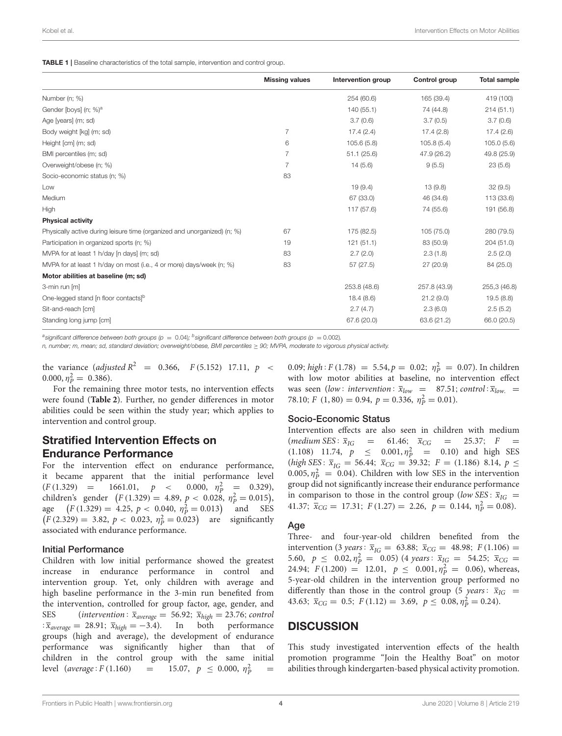<span id="page-3-0"></span>TABLE 1 | Baseline characteristics of the total sample, intervention and control group.

|                                                                          | <b>Missing values</b> | Intervention group | Control group | <b>Total sample</b> |
|--------------------------------------------------------------------------|-----------------------|--------------------|---------------|---------------------|
| Number (n; %)                                                            |                       | 254 (60.6)         | 165 (39.4)    | 419 (100)           |
| Gender [boys] (n; %) <sup>a</sup>                                        |                       | 140 (55.1)         | 74 (44.8)     | 214(51.1)           |
| Age [years] (m; sd)                                                      |                       | 3.7(0.6)           | 3.7(0.5)      | 3.7(0.6)            |
| Body weight [kg] (m; sd)                                                 | $\overline{7}$        | 17.4(2.4)          | 17.4(2.8)     | 17.4(2.6)           |
| Height [cm] (m; sd)                                                      | 6                     | 105.6(5.8)         | 105.8(5.4)    | 105.0(5.6)          |
| BMI percentiles (m; sd)                                                  | $\overline{7}$        | 51.1(25.6)         | 47.9 (26.2)   | 49.8 (25.9)         |
| Overweight/obese (n; %)                                                  | 7                     | 14(5.6)            | 9(5.5)        | 23(5.6)             |
| Socio-economic status (n; %)                                             | 83                    |                    |               |                     |
| Low                                                                      |                       | 19(9.4)            | 13(9.8)       | 32(9.5)             |
| Medium                                                                   |                       | 67 (33.0)          | 46 (34.6)     | 113 (33.6)          |
| High                                                                     |                       | 117 (57.6)         | 74 (55.6)     | 191 (56.8)          |
| <b>Physical activity</b>                                                 |                       |                    |               |                     |
| Physically active during leisure time (organized and unorganized) (n; %) | 67                    | 175 (82.5)         | 105 (75.0)    | 280 (79.5)          |
| Participation in organized sports (n; %)                                 | 19                    | 121(51.1)          | 83 (50.9)     | 204 (51.0)          |
| MVPA for at least 1 h/day [n days] (m; sd)                               | 83                    | 2.7(2.0)           | 2.3(1.8)      | 2.5(2.0)            |
| MVPA for at least 1 h/day on most (i.e., 4 or more) days/week (n; %)     | 83                    | 57 (27.5)          | 27 (20.9)     | 84 (25.0)           |
| Motor abilities at baseline (m; sd)                                      |                       |                    |               |                     |
| 3-min run [m]                                                            |                       | 253.8 (48.6)       | 257.8 (43.9)  | 255,3 (46.8)        |
| One-legged stand [n floor contacts] <sup>b</sup>                         |                       | 18.4(8.6)          | 21.2(9.0)     | 19.5(8.8)           |
| Sit-and-reach [cm]                                                       |                       | 2.7(4.7)           | 2.3(6.0)      | 2.5(5.2)            |
| Standing long jump [cm]                                                  |                       | 67.6 (20.0)        | 63.6 (21.2)   | 66.0 (20.5)         |

*a significant difference between both groups (p* = 0.04)*; b significant difference between both groups (p* = 0.002)*.*

*n, number; m, mean; sd, standard deviation; overweight/obese, BMI percentiles* ≥ *90; MVPA, moderate to vigorous physical activity.*

the variance (*adjusted*  $R^2$  = 0.366,  $F(5.152)$  17.11,  $p \le$  $0.000, \eta_P^2 = 0.386$ .

For the remaining three motor tests, no intervention effects were found (**[Table 2](#page-4-1)**). Further, no gender differences in motor abilities could be seen within the study year; which applies to intervention and control group.

### Stratified Intervention Effects on Endurance Performance

For the intervention effect on endurance performance, it became apparent that the initial performance level  $(F (1.329) = 1661.01, p <$  $\frac{2}{p} = 0.329$ ), children's gender  $(F(1.329) = 4.89, p < 0.028, \eta_P^2 = 0.015)$ , age  $(F(1.329) = 4.25, p < 0.040, \eta_P^2 = 0.013)$  and SES  $(F(2.329) = 3.82, p < 0.023, \eta_P^2 = 0.023)$  are significantly associated with endurance performance.

#### Initial Performance

Children with low initial performance showed the greatest increase in endurance performance in control and intervention group. Yet, only children with average and high baseline performance in the 3-min run benefited from the intervention, controlled for group factor, age, gender, and SES (intervention:  $\bar{x}_{average} = 56.92$ ;  $\bar{x}_{high} = 23.76$ ; control :  $\bar{x}_{average} = 28.91$ ;  $\bar{x}_{high} = -3.4$ ). In both performance groups (high and average), the development of endurance performance was significantly higher than that of children in the control group with the same initial level (average: F (1.160) = 15.07,  $p \le 0.000, \eta_P^2$  =

0.09; high:  $F(1.78) = 5.54, p = 0.02; \eta_P^2 = 0.07$ ). In children with low motor abilities at baseline, no intervention effect was seen (low: intervention:  $\bar{x}_{low}$  = 87.51; control:  $\bar{x}_{low}$  = 78.10;  $F(1, 80) = 0.94$ ,  $p = 0.336$ ,  $\eta_{P}^{2} = 0.01$ ).

#### Socio-Economic Status

Intervention effects are also seen in children with medium (*medium SES*:  $\bar{x}_{IG}$  = 61.46;  $\bar{x}_{CG}$  = 25.37; F (1.108) 11.74,  $p \le 0.001, \eta_P^2 = 0.10$  and high SES (high SES:  $\bar{x}_{IG} = 56.44$ ;  $\bar{x}_{CG} = 39.32$ ;  $F = (1.186) 8.14, p \le$ 0.005,  $\eta_P^2 = 0.04$ ). Children with low SES in the intervention group did not significantly increase their endurance performance in comparison to those in the control group (low SES:  $\bar{x}_{IG}$  = 41.37;  $\bar{x}_{CG} = 17.31$ ;  $F(1.27) = 2.26$ ,  $p = 0.144$ ,  $\eta_P^2 = 0.08$ ).

#### Age

Three- and four-year-old children benefited from the intervention (3 years:  $\bar{x}_{IG} = 63.88$ ;  $\bar{x}_{CG} = 48.98$ ;  $F(1.106) =$ 5.60,  $p \le 0.02, \eta_P^2 = 0.05$  (4 years:  $\overline{x}_{IG} = 54.25$ ;  $\overline{x}_{CG} =$ 24.94;  $F(1.200) = 12.01$ ,  $p \le 0.001$ ,  $\eta_p^2 = 0.06$ ), whereas, 5-year-old children in the intervention group performed no differently than those in the control group (5 years:  $\bar{x}_{IG}$  = 43.63;  $\bar{x}_{CG} = 0.5$ ;  $F(1.12) = 3.69$ ,  $p \le 0.08$ ,  $\eta_P^2 = 0.24$ ).

### **DISCUSSION**

This study investigated intervention effects of the health promotion programme "Join the Healthy Boat" on motor abilities through kindergarten-based physical activity promotion.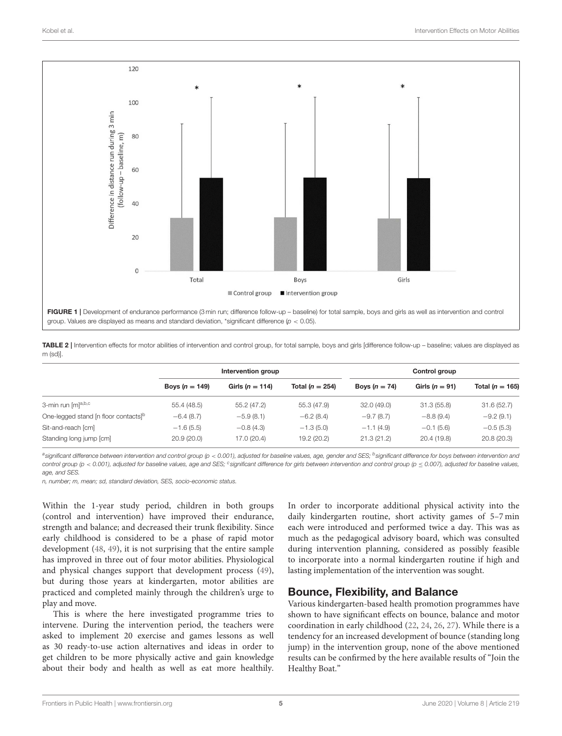

<span id="page-4-1"></span><span id="page-4-0"></span>

|          | TABLE 2   Intervention effects for motor abilities of intervention and control group, for total sample, boys and girls [difference follow-up - baseline; values are displayed as |
|----------|----------------------------------------------------------------------------------------------------------------------------------------------------------------------------------|
| m (sd)]. |                                                                                                                                                                                  |

|                                                  | Intervention group |                     |                     | Control group   |                    |                     |
|--------------------------------------------------|--------------------|---------------------|---------------------|-----------------|--------------------|---------------------|
|                                                  | Boys $(n = 149)$   | Girls ( $n = 114$ ) | Total ( $n = 254$ ) | Boys $(n = 74)$ | Girls ( $n = 91$ ) | Total ( $n = 165$ ) |
| 3-min run [m] <sup>a,b,c</sup>                   | 55.4(48.5)         | 55.2 (47.2)         | 55.3 (47.9)         | 32.0(49.0)      | 31.3(55.8)         | 31.6(52.7)          |
| One-legged stand [n floor contacts] <sup>b</sup> | $-6.4(8.7)$        | $-5.9(8.1)$         | $-6.2(8.4)$         | $-9.7(8.7)$     | $-8.8(9.4)$        | $-9.2(9.1)$         |
| Sit-and-reach [cm]                               | $-1.6(5.5)$        | $-0.8(4.3)$         | $-1.3(5.0)$         | $-1.1(4.9)$     | $-0.1(5.6)$        | $-0.5(5.3)$         |
| Standing long jump [cm]                          | 20.9(20.0)         | 17.0 (20.4)         | 19.2 (20.2)         | 21.3(21.2)      | 20.4 (19.8)        | 20.8(20.3)          |

*a significant difference between intervention and control group (p* < *0.001), adjusted for baseline values, age, gender and SES; <sup>b</sup> significant difference for boys between intervention and control group (p* < *0.001), adjusted for baseline values, age and SES; <sup>c</sup> significant difference for girls between intervention and control group (p* ≤ *0.007), adjusted for baseline values, age, and SES.*

*n, number; m, mean; sd, standard deviation, SES, socio-economic status.*

Within the 1-year study period, children in both groups (control and intervention) have improved their endurance, strength and balance; and decreased their trunk flexibility. Since early childhood is considered to be a phase of rapid motor development [\(48,](#page-8-16) [49\)](#page-8-17), it is not surprising that the entire sample has improved in three out of four motor abilities. Physiological and physical changes support that development process [\(49\)](#page-8-17), but during those years at kindergarten, motor abilities are practiced and completed mainly through the children's urge to play and move.

This is where the here investigated programme tries to intervene. During the intervention period, the teachers were asked to implement 20 exercise and games lessons as well as 30 ready-to-use action alternatives and ideas in order to get children to be more physically active and gain knowledge about their body and health as well as eat more healthily.

In order to incorporate additional physical activity into the daily kindergarten routine, short activity games of 5–7 min each were introduced and performed twice a day. This was as much as the pedagogical advisory board, which was consulted during intervention planning, considered as possibly feasible to incorporate into a normal kindergarten routine if high and lasting implementation of the intervention was sought.

# Bounce, Flexibility, and Balance

Various kindergarten-based health promotion programmes have shown to have significant effects on bounce, balance and motor coordination in early childhood [\(22,](#page-7-20) [24,](#page-7-22) [26,](#page-7-23) [27\)](#page-7-21). While there is a tendency for an increased development of bounce (standing long jump) in the intervention group, none of the above mentioned results can be confirmed by the here available results of "Join the Healthy Boat."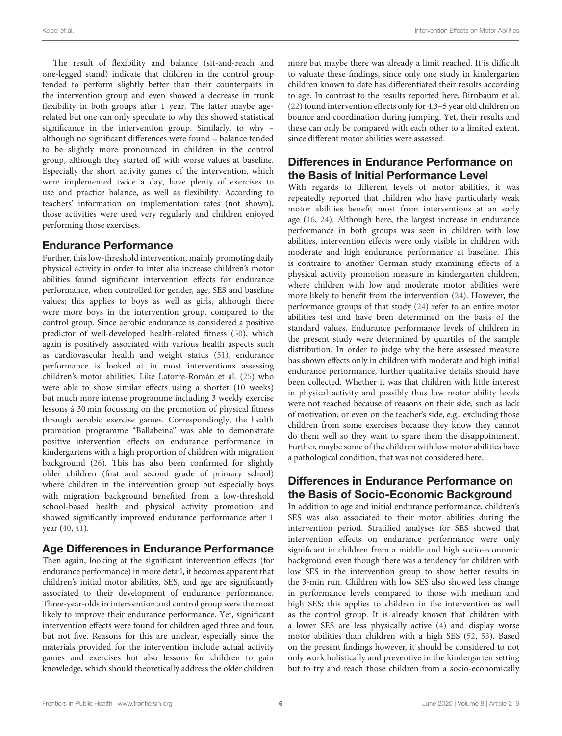The result of flexibility and balance (sit-and-reach and one-legged stand) indicate that children in the control group tended to perform slightly better than their counterparts in the intervention group and even showed a decrease in trunk flexibility in both groups after 1 year. The latter maybe agerelated but one can only speculate to why this showed statistical significance in the intervention group. Similarly, to why – although no significant differences were found – balance tended to be slightly more pronounced in children in the control group, although they started off with worse values at baseline. Especially the short activity games of the intervention, which were implemented twice a day, have plenty of exercises to use and practice balance, as well as flexibility. According to teachers' information on implementation rates (not shown), those activities were used very regularly and children enjoyed performing those exercises.

### Endurance Performance

Further, this low-threshold intervention, mainly promoting daily physical activity in order to inter alia increase children's motor abilities found significant intervention effects for endurance performance, when controlled for gender, age, SES and baseline values; this applies to boys as well as girls, although there were more boys in the intervention group, compared to the control group. Since aerobic endurance is considered a positive predictor of well-developed health-related fitness [\(50\)](#page-8-18), which again is positively associated with various health aspects such as cardiovascular health and weight status [\(51\)](#page-8-19), endurance performance is looked at in most interventions assessing children's motor abilities. Like Latorre-Román et al. [\(25\)](#page-7-24) who were able to show similar effects using a shorter (10 weeks) but much more intense programme including 3 weekly exercise lessons á 30 min focussing on the promotion of physical fitness through aerobic exercise games. Correspondingly, the health promotion programme "Ballabeina" was able to demonstrate positive intervention effects on endurance performance in kindergartens with a high proportion of children with migration background [\(26\)](#page-7-23). This has also been confirmed for slightly older children (first and second grade of primary school) where children in the intervention group but especially boys with migration background benefited from a low-threshold school-based health and physical activity promotion and showed significantly improved endurance performance after 1 year [\(40,](#page-8-20) [41\)](#page-8-21).

### Age Differences in Endurance Performance

Then again, looking at the significant intervention effects (for endurance performance) in more detail, it becomes apparent that children's initial motor abilities, SES, and age are significantly associated to their development of endurance performance. Three-year-olds in intervention and control group were the most likely to improve their endurance performance. Yet, significant intervention effects were found for children aged three and four, but not five. Reasons for this are unclear, especially since the materials provided for the intervention include actual activity games and exercises but also lessons for children to gain knowledge, which should theoretically address the older children more but maybe there was already a limit reached. It is difficult to valuate these findings, since only one study in kindergarten children known to date has differentiated their results according to age. In contrast to the results reported here, Birnbaum et al. [\(22\)](#page-7-20) found intervention effects only for 4.3–5 year old children on bounce and coordination during jumping. Yet, their results and these can only be compared with each other to a limited extent, since different motor abilities were assessed.

# Differences in Endurance Performance on the Basis of Initial Performance Level

With regards to different levels of motor abilities, it was repeatedly reported that children who have particularly weak motor abilities benefit most from interventions at an early age [\(16,](#page-7-25) [24\)](#page-7-22). Although here, the largest increase in endurance performance in both groups was seen in children with low abilities, intervention effects were only visible in children with moderate and high endurance performance at baseline. This is contraire to another German study examining effects of a physical activity promotion measure in kindergarten children, where children with low and moderate motor abilities were more likely to benefit from the intervention [\(24\)](#page-7-22). However, the performance groups of that study [\(24\)](#page-7-22) refer to an entire motor abilities test and have been determined on the basis of the standard values. Endurance performance levels of children in the present study were determined by quartiles of the sample distribution. In order to judge why the here assessed measure has shown effects only in children with moderate and high initial endurance performance, further qualitative details should have been collected. Whether it was that children with little interest in physical activity and possibly thus low motor ability levels were not reached because of reasons on their side, such as lack of motivation; or even on the teacher's side, e.g., excluding those children from some exercises because they know they cannot do them well so they want to spare them the disappointment. Further, maybe some of the children with low motor abilities have a pathological condition, that was not considered here.

# Differences in Endurance Performance on the Basis of Socio-Economic Background

In addition to age and initial endurance performance, children's SES was also associated to their motor abilities during the intervention period. Stratified analyses for SES showed that intervention effects on endurance performance were only significant in children from a middle and high socio-economic background; even though there was a tendency for children with low SES in the intervention group to show better results in the 3-min run. Children with low SES also showed less change in performance levels compared to those with medium and high SES; this applies to children in the intervention as well as the control group. It is already known that children with a lower SES are less physically active [\(4\)](#page-7-4) and display worse motor abilities than children with a high SES [\(52,](#page-8-22) [53\)](#page-8-23). Based on the present findings however, it should be considered to not only work holistically and preventive in the kindergarten setting but to try and reach those children from a socio-economically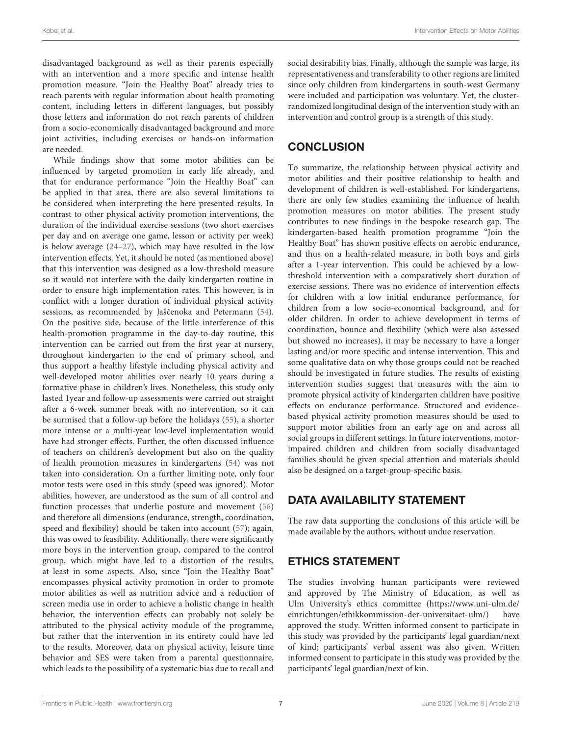disadvantaged background as well as their parents especially with an intervention and a more specific and intense health promotion measure. "Join the Healthy Boat" already tries to reach parents with regular information about health promoting content, including letters in different languages, but possibly those letters and information do not reach parents of children from a socio-economically disadvantaged background and more joint activities, including exercises or hands-on information are needed.

While findings show that some motor abilities can be influenced by targeted promotion in early life already, and that for endurance performance "Join the Healthy Boat" can be applied in that area, there are also several limitations to be considered when interpreting the here presented results. In contrast to other physical activity promotion interventions, the duration of the individual exercise sessions (two short exercises per day and on average one game, lesson or activity per week) is below average [\(24–](#page-7-22)[27\)](#page-7-21), which may have resulted in the low intervention effects. Yet, it should be noted (as mentioned above) that this intervention was designed as a low-threshold measure so it would not interfere with the daily kindergarten routine in order to ensure high implementation rates. This however, is in conflict with a longer duration of individual physical activity sessions, as recommended by Jaščenoka and Petermann ([54\)](#page-8-24). On the positive side, because of the little interference of this health-promotion programme in the day-to-day routine, this intervention can be carried out from the first year at nursery, throughout kindergarten to the end of primary school, and thus support a healthy lifestyle including physical activity and well-developed motor abilities over nearly 10 years during a formative phase in children's lives. Nonetheless, this study only lasted 1year and follow-up assessments were carried out straight after a 6-week summer break with no intervention, so it can be surmised that a follow-up before the holidays [\(55\)](#page-8-25), a shorter more intense or a multi-year low-level implementation would have had stronger effects. Further, the often discussed influence of teachers on children's development but also on the quality of health promotion measures in kindergartens [\(54\)](#page-8-24) was not taken into consideration. On a further limiting note, only four motor tests were used in this study (speed was ignored). Motor abilities, however, are understood as the sum of all control and function processes that underlie posture and movement [\(56\)](#page-8-26) and therefore all dimensions (endurance, strength, coordination, speed and flexibility) should be taken into account [\(57\)](#page-8-27); again, this was owed to feasibility. Additionally, there were significantly more boys in the intervention group, compared to the control group, which might have led to a distortion of the results, at least in some aspects. Also, since "Join the Healthy Boat" encompasses physical activity promotion in order to promote motor abilities as well as nutrition advice and a reduction of screen media use in order to achieve a holistic change in health behavior, the intervention effects can probably not solely be attributed to the physical activity module of the programme, but rather that the intervention in its entirety could have led to the results. Moreover, data on physical activity, leisure time behavior and SES were taken from a parental questionnaire, which leads to the possibility of a systematic bias due to recall and social desirability bias. Finally, although the sample was large, its representativeness and transferability to other regions are limited since only children from kindergartens in south-west Germany were included and participation was voluntary. Yet, the clusterrandomized longitudinal design of the intervention study with an intervention and control group is a strength of this study.

# **CONCLUSION**

To summarize, the relationship between physical activity and motor abilities and their positive relationship to health and development of children is well-established. For kindergartens, there are only few studies examining the influence of health promotion measures on motor abilities. The present study contributes to new findings in the bespoke research gap. The kindergarten-based health promotion programme "Join the Healthy Boat" has shown positive effects on aerobic endurance, and thus on a health-related measure, in both boys and girls after a 1-year intervention. This could be achieved by a lowthreshold intervention with a comparatively short duration of exercise sessions. There was no evidence of intervention effects for children with a low initial endurance performance, for children from a low socio-economical background, and for older children. In order to achieve development in terms of coordination, bounce and flexibility (which were also assessed but showed no increases), it may be necessary to have a longer lasting and/or more specific and intense intervention. This and some qualitative data on why those groups could not be reached should be investigated in future studies. The results of existing intervention studies suggest that measures with the aim to promote physical activity of kindergarten children have positive effects on endurance performance. Structured and evidencebased physical activity promotion measures should be used to support motor abilities from an early age on and across all social groups in different settings. In future interventions, motorimpaired children and children from socially disadvantaged families should be given special attention and materials should also be designed on a target-group-specific basis.

# DATA AVAILABILITY STATEMENT

The raw data supporting the conclusions of this article will be made available by the authors, without undue reservation.

# ETHICS STATEMENT

The studies involving human participants were reviewed and approved by The Ministry of Education, as well as Ulm University's ethics committee [\(https://www.uni-ulm.de/](https://www.uni-ulm.de/einrichtungen/ethikkommission-der-universitaet-ulm/) [einrichtungen/ethikkommission-der-universitaet-ulm/\)](https://www.uni-ulm.de/einrichtungen/ethikkommission-der-universitaet-ulm/) have approved the study. Written informed consent to participate in this study was provided by the participants' legal guardian/next of kind; participants' verbal assent was also given. Written informed consent to participate in this study was provided by the participants' legal guardian/next of kin.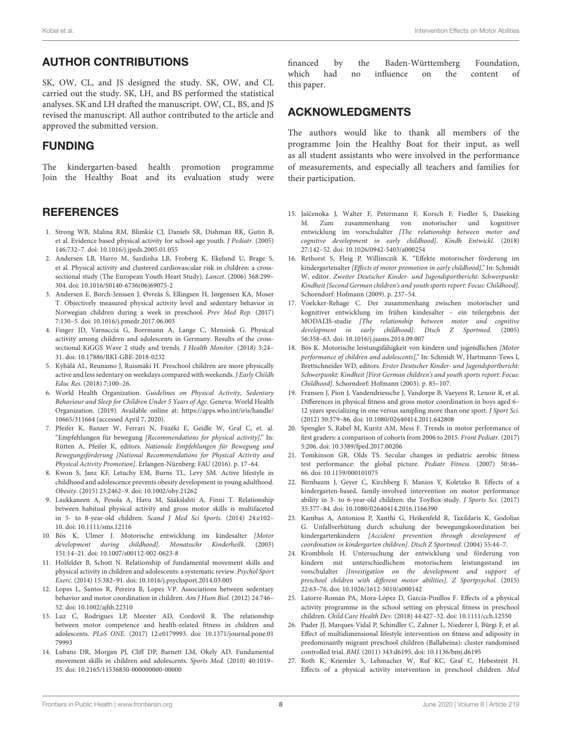# AUTHOR CONTRIBUTIONS

SK, OW, CL, and JS designed the study. SK, OW, and CL carried out the study. SK, LH, and BS performed the statistical analyses. SK and LH drafted the manuscript. OW, CL, BS, and JS revised the manuscript. All author contributed to the article and approved the submitted version.

# FUNDING

The kindergarten-based health promotion programme Join the Healthy Boat and its evaluation study were

### **REFERENCES**

- <span id="page-7-0"></span>1. Strong WB, Malina RM, Blimkie CJ, Daniels SR, Dishman RK, Gutin B, et al. Evidence based physical activity for school-age youth. J Pediatr. (2005) 146:732–7. doi: [10.1016/j.jpeds.2005.01.055](https://doi.org/10.1016/j.jpeds.2005.01.055)
- <span id="page-7-1"></span>2. Andersen LB, Harro M, Sardinha LB, Froberg K, Ekelund U, Brage S, et al. Physical activity and clustered cardiovascular risk in children: a crosssectional study (The European Youth Heart Study). Lancet. (2006) 368:299-304. doi: [10.1016/S0140-6736\(06\)69075-2](https://doi.org/10.1016/S0140-6736(06)69075-2)
- <span id="page-7-2"></span>3. Andersen E, Borch-Jenssen J, Øvreås S, Ellingsen H, Jørgensen KA, Moser T. Objectively measured physical activity level and sedentary behavior in Norwegian children during a week in preschool. Prev Med Rep. (2017) 7:130–5. doi: [10.1016/j.pmedr.2017.06.003](https://doi.org/10.1016/j.pmedr.2017.06.003)
- <span id="page-7-4"></span>4. Finger JD, Varnaccia G, Borrmann A, Lange C, Mensink G. Physical activity among children and adolescents in Germany. Results of the crosssectional KiGGS Wave 2 study and trends. J Health Monitor. (2018) 3:24-31. doi: [10.17886/RKI-GBE-2018-0232](https://doi.org/10.17886/RKI-GBE-2018-0232)
- <span id="page-7-3"></span>5. Kyhälä AL, Reunamo J, Ruismäki H. Preschool children are more physically active and less sedentary on weekdays compared with weekends. J Early Childh Educ Res. (2018) 7:100–26.
- <span id="page-7-5"></span>6. World Health Organization. Guidelines on Physical Activity, Sedentary Behaviour and Sleep for Children Under 5 Years of Age. Geneva: World Health Organization. (2019). Available online at: [https://apps.who.int/iris/handle/](https://apps.who.int/iris/handle/10665/311664) [10665/311664](https://apps.who.int/iris/handle/10665/311664) (accessed April 7, 2020).
- <span id="page-7-6"></span>7. Pfeifer K, Banzer W, Ferrari N, Füzéki E, Geidle W, Graf C, et. al. "Empfehlungen für bewegung [Recommendations for physical activity]," In: Rütten A, Pfeifer K, editors. Nationale Empfehlungen für Bewegung und Bewegungsförderung [National Recommendations for Physical Activity and Physical Activity Promotion]. Erlangen-Nürnberg: FAU (2016). p. 17–64.
- <span id="page-7-7"></span>8. Kwon S, Janz KF, Letuchy EM, Burns TL, Levy SM. Active lifestyle in childhood and adolescence prevents obesity development in young adulthood. Obesity. (2015) 23:2462–9. doi: [10.1002/oby.21262](https://doi.org/10.1002/oby.21262)
- <span id="page-7-8"></span>9. Laukkaneen A, Pesola A, Havu M, Sääkslahti A, Finni T. Relationship between habitual physical activity and gross motor skills is multifaceted in 5- to 8-year-old children. Scand J Med Sci Sports. (2014) 24:e102– 10. doi: [10.1111/sms.12116](https://doi.org/10.1111/sms.12116)
- <span id="page-7-9"></span>10. Bös K, Ulmer J. Motorische entwicklung im kindesalter [Motor development during childhood]. Monatsschr Kinderheilk. (2003) 151:14–21. doi: [10.1007/s00112-002-0623-8](https://doi.org/10.1007/s00112-002-0623-8)
- <span id="page-7-10"></span>11. Holfelder B, Schott N. Relationship of fundamental movement skills and physical activity in children and adolescents: a systematic review. Psychol Sport Exerc. (2014) 15:382–91. doi: [10.1016/j.psychsport.2014.03.005](https://doi.org/10.1016/j.psychsport.2014.03.005)
- <span id="page-7-15"></span>12. Lopes L, Santos R, Pereira B, Lopes VP. Associations between sedentary behavior and motor coordination in children. Am J Hum Biol. (2012) 24:746– 52. doi: [10.1002/ajhb.22310](https://doi.org/10.1002/ajhb.22310)
- <span id="page-7-11"></span>13. Luz C, Rodrigues LP, Meester AD, Cordovil R. The relationship between motor competence and health-related fitness in children and adolescents. PLoS ONE. [\(2017\) 12:e0179993. doi: 10.1371/journal.pone.01](https://doi.org/10.1371/journal.pone.0179993) 79993
- <span id="page-7-12"></span>14. Lubans DR, Morgan PJ, Cliff DP, Barnett LM, Okely AD. Fundamental movement skills in children and adolescents. Sports Med. (2010) 40:1019– 35. doi: [10.2165/11536850-000000000-00000](https://doi.org/10.2165/11536850-000000000-00000)

financed by the Baden-Württemberg Foundation, which had no influence on the content of this paper.

### ACKNOWLEDGMENTS

The authors would like to thank all members of the programme Join the Healthy Boat for their input, as well as all student assistants who were involved in the performance of measurements, and especially all teachers and families for their participation.

- <span id="page-7-13"></span>15. Jaščenoka J, Walter F, Petermann F, Korsch F, Fiedler S, Daseking M. Zum zusammenhang von motorischer und kognitiver entwicklung im vorschulalter [The relationship between motor and cognitive development in early childhood]. Kindh Entwickl. (2018) 27:142–52. doi: [10.1026/0942-5403/a000254](https://doi.org/10.1026/0942-5403/a000254)
- <span id="page-7-25"></span>16. Rethorst S, Fleig P, Willimczik K. "Effekte motorischer förderung im kindergartenalter [Effects of motor promotion in early childhood]," In: Schmidt W, editor. Zweiter Deutscher Kinder- und Jugendsportbericht: Schwerpunkt: Kindheit [Second German children's and youth sports report: Focus: Childhood]. Schorndorf: Hofmann (2009). p. 237–54.
- <span id="page-7-14"></span>17. Voelcker-Rehage C. Der zusammenhang zwischen motorischer und kognitiver entwicklung im frühen kindesalter – ein teilergebnis der MODALIS-studie [The relationship between motor and cognitive development in early childhood]. Dtsch Z Sportmed. (2005) 56:358–63. doi: [10.1016/j.jsams.2014.09.007](https://doi.org/10.1016/j.jsams.2014.09.007)
- <span id="page-7-16"></span>18. Bös K. Motorische leistungsfähigkeit von kindern und jugendlichen [Motor performance of children and adolescents]," In: Schmidt W, Hartmann-Tews I, Brettschneider WD, editors. Erster Deutscher Kinder- und Jugendsportbericht: Schwerpunkt: Kindheit [First German children's and youth sports report: Focus: Childhood]. Schorndorf: Hofmann (2003). p. 85–107.
- <span id="page-7-17"></span>19. Fransen J, Pion J, Vandendriessche J, Vandorpe B, Vaeyens R, Lenoir R, et al. Differences in physical fitness and gross motor coordination in boys aged 6– 12 years specializing in one versus sampling more than one sport. J Sport Sci. (2012) 30:379–86. doi: [10.1080/02640414.2011.642808](https://doi.org/10.1080/02640414.2011.642808)
- <span id="page-7-18"></span>20. Spengler S, Rabel M, Kuritz AM, Mess F. Trends in motor performance of first graders: a comparison of cohorts from 2006 to 2015. Front Pediatr. (2017) 5:206. doi: [10.3389/fped.2017.00206](https://doi.org/10.3389/fped.2017.00206)
- <span id="page-7-19"></span>21. Tomkinson GR, Olds TS. Secular changes in pediatric aerobic fitness test performance: the global picture. Pediatr Fitness. (2007) 50:46– 66. doi: [10.1159/000101075](https://doi.org/10.1159/000101075)
- <span id="page-7-20"></span>22. Birnbaum J, Geyer C, Kirchberg F, Manios Y, Koletzko B. Effects of a kindergarten-based, family-involved intervention on motor performance ability in 3- to 6-year-old children: the ToyBox-study. J Sports Sci. (2017) 35:377–84. doi: [10.1080/02640414.2016.1166390](https://doi.org/10.1080/02640414.2016.1166390)
- 23. Kambas A, Antoniou P, Xanthi G, Heikenfeld R, Taxildaris K, Godolias G. Unfallverhütung durch schulung der bewegungskoordination bei kindergartenkindern [Accident prevention through development of coordination in kindergarten children]. Dtsch Z Sportmed. (2004) 55:44–7.
- <span id="page-7-22"></span>24. Krombholz H. Untersuchung der entwicklung und förderung von kindern mit unterschiedlichem motorischem leistungsstand im vorschulalter [Investigation on the development and support of preschool children with different motor abilities]. Z Sportpsychol. (2015) 22:63–76. doi: [10.1026/1612-5010/a000142](https://doi.org/10.1026/1612-5010/a000142)
- <span id="page-7-24"></span>25. Latorre-Román PA, Mora-López D, García-Pinillos F. Effects of a physical activity programme in the school setting on physical fitness in preschool children. Child Care Health Dev. (2018) 44:427–32. doi: [10.1111/cch.12550](https://doi.org/10.1111/cch.12550)
- <span id="page-7-23"></span>26. Puder JJ, Marques-Vidal P, Schindler C, Zahner L, Niederer I, Bürgi F, et al. Effect of multidimensional lifestyle intervention on fitness and adiposity in predominantly migrant preschool children (Ballabeina): cluster randomised controlled trial. BMJ. (2011) 343:d6195. doi: [10.1136/bmj.d6195](https://doi.org/10.1136/bmj.d6195)
- <span id="page-7-21"></span>27. Roth K, Kriemler S, Lehmacher W, Ruf KC, Graf C, Hebestreit H. Effects of a physical activity intervention in preschool children. Med